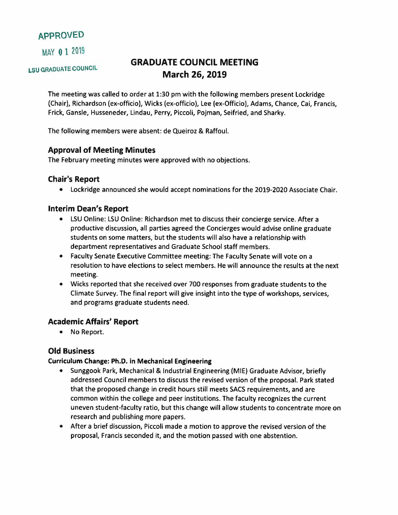# APPROVED

MAY O 1 2019

LSU GRADUATE COUNCIL

# GRADUATE COUNCIL MEETING March 26, 2019

The meeting was called to order at 1:30 pm with the following members present Lockridge (Chair), Richardson (ex-officio), Wicks (ex-officio), Lee (ex-Officio), Adams, Chance, Cai, Francis, Frick, Gansle, Husseneder, Lindau, Perry, Piccoli, Pojman, Seifried, and Sharky.

The following members were absent: de Queiroz & Raffoul.

# Approval of Meeting Minutes

The February meeting minutes were approved with no objections.

## Chair's Report

• Lockridge announced she would accept nominations for the 2019-2020 Associate Chair.

## Interim Dean's Report

- LSU Online: LSU Online: Richardson met to discuss their concierge service. After a productive discussion, all parties agreed the Concierges would advise online graduate students on some matters, but the students will also have a relationship with department representatives and Graduate School staff members.
- Faculty Senate Executive Committee meeting: The Faculty Senate will vote on a resolution to have elections to select members. He will announce the results at the next meeting.
- Wicks reported that she received over 700 responses from graduate students to the Climate Survey. The final report will give insight into the type of workshops, services, and programs graduate students need.

# Academic Affairs' Report

• No Report.

# Old Business

### Curriculum Change: Ph.D. in Mechanical Engineering

- Sunggook Park, Mechanical & Industrial Engineering (MIE) Graduate Advisor, briefly addressed Council members to discuss the revised version of the proposal. Park stated that the proposed change in credit hours still meets SACS requirements, and are common within the college and peer institutions. The faculty recognizes the current uneven student-faculty ratio, but this change will allow students to concentrate more on research and publishing more papers.
- After a brief discussion, Piccoli made a motion to approve the revised version of the proposal, Francis seconded it, and the motion passed with one abstention.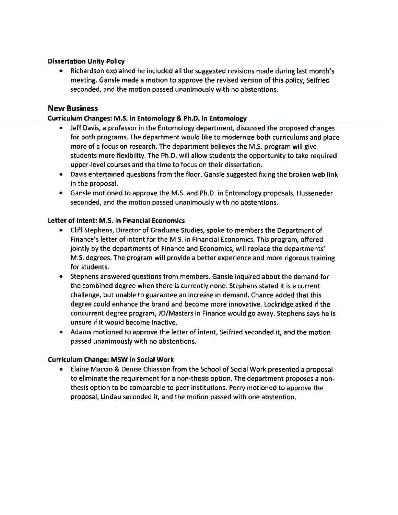#### Dissertation Unity Policy

• Richardson explained he included all the suggested revisions made during last month's meeting. Gansle made a motion to approve the revised version of this policy, Seifried seconded, and the motion passed unanimously with no abstentions.

### New Business

### Curriculum Changes: M.S. in Entomology & Ph.D. in Entomology

- Jeff Davis, a professor in the Entomology department, discussed the proposed changes for both programs. The department would like to modernize both curriculums and place more of a focus on research. The department believes the M.S. program will give students more flexibility. The Ph.D. will allow students the opportunity to take required upper-level courses and the time to focus on their dissertation.
- Davis entertained questions from the floor. Gansle suggested fixing the broken web link in the proposal.
- Gansle motioned to approve the M.S. and Ph.D. in Entomology proposals, Husseneder seconded, and the motion passed unanimously with no abstentions.

### Letter of Intent: M.S. in Financial Economics

- Cliff Stephens, Director of Graduate Studies, spoke to members the Department of Finance's letter of intent for the M.S. in Financial Economics. This program, offered jointly by the departments of Finance and Economics, will replace the departments' M.S. degrees. The program will provide a better experience and more rigorous training for students.
- Stephens answered questions from members. Gansle inquired about the demand for the combined degree when there is currently none. Stephens stated it is a current challenge, but unable to guarantee an increase in demand. Chance added that this degree could enhance the brand and become more innovative. Lockridge asked if the concurrent degree program, JD/Masters in Finance would go away. Stephens says he is unsure if it would become inactive.
- Adams motioned to approve the letter of intent, Seifried seconded it, and the motion passed unanimously with no abstentions.

### Curriculum Change: MSW in Social Work

• Elaine Maccio & Denise Chiasson from the School of Social Work presented a proposal to eliminate the requirement for a non-thesis option. The department proposes a nonthesis option to be comparable to peer institutions. Perry motioned to approve the proposal, Lindau seconded it, and the motion passed with one abstention.